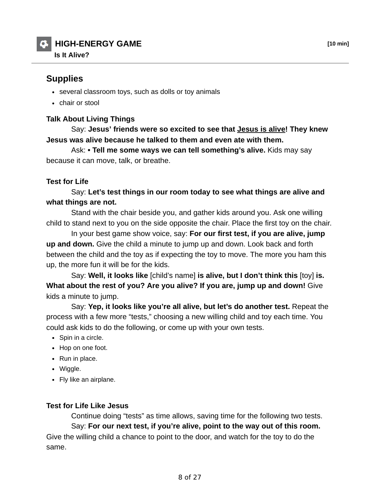# **HIGH-ENERGY GAME [10 min]**

**Is It Alive?**

## **Supplies**

- several classroom toys, such as dolls or toy animals
- chair or stool

### **Talk About Living Things**

 Say: **Jesus' friends were so excited to see that Jesus is alive! They knew Jesus was alive because he talked to them and even ate with them.**

 Ask: **• Tell me some ways we can tell something's alive.** Kids may say because it can move, talk, or breathe.

#### **Test for Life**

 Say: **Let's test things in our room today to see what things are alive and what things are not.**

 Stand with the chair beside you, and gather kids around you. Ask one willing child to stand next to you on the side opposite the chair. Place the first toy on the chair.

 In your best game show voice, say: **For our first test, if you are alive, jump up and down.** Give the child a minute to jump up and down. Look back and forth between the child and the toy as if expecting the toy to move. The more you ham this up, the more fun it will be for the kids.

 Say: **Well, it looks like** [child's name] **is alive, but I don't think this** [toy] **is. What about the rest of you? Are you alive? If you are, jump up and down!** Give kids a minute to jump.

 Say: **Yep, it looks like you're all alive, but let's do another test.** Repeat the process with a few more "tests," choosing a new willing child and toy each time. You could ask kids to do the following, or come up with your own tests.

- Spin in a circle.
- Hop on one foot.
- Run in place.
- Wiggle.
- Fly like an airplane.

#### **Test for Life Like Jesus**

 Continue doing "tests" as time allows, saving time for the following two tests. Say: **For our next test, if you're alive, point to the way out of this room.** Give the willing child a chance to point to the door, and watch for the toy to do the same.